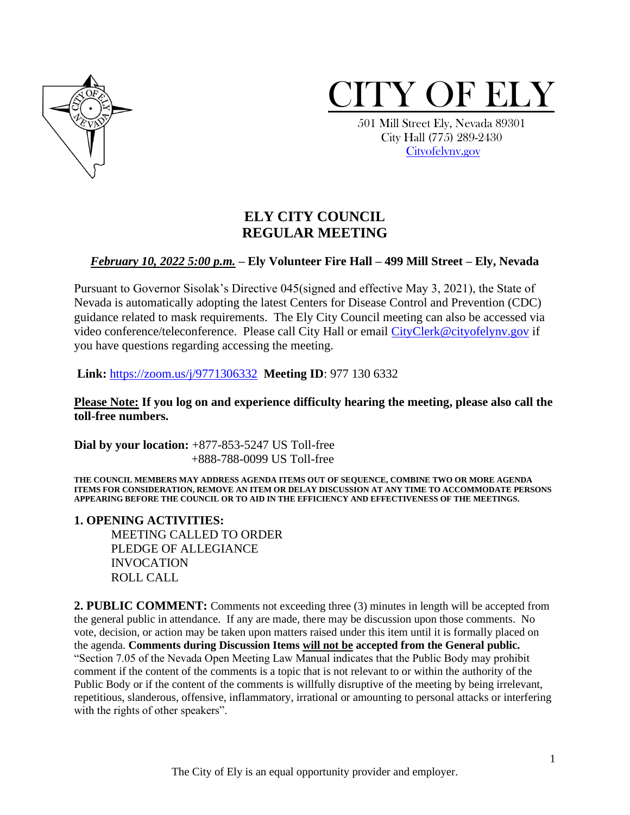



 501 Mill Street Ely, Nevada 89301 City Hall (775) 289-2430 [Cityofelynv.gov](mailto:Cityofelynv.gov)

# **ELY CITY COUNCIL REGULAR MEETING**

#### *February 10, 2022 5:00 p.m.* **– Ely Volunteer Fire Hall – 499 Mill Street – Ely, Nevada**

Pursuant to Governor Sisolak's Directive 045(signed and effective May 3, 2021), the State of Nevada is automatically adopting the latest Centers for Disease Control and Prevention (CDC) guidance related to mask requirements. The Ely City Council meeting can also be accessed via video conference/teleconference. Please call City Hall or email [CityClerk@cityofelynv.gov](mailto:CityClerk@cityofelynv.gov) if you have questions regarding accessing the meeting.

**Link:** [https://zoom.us/j/9771306332](https://zoom.us/j/9771306332?status=success) **Meeting ID**: 977 130 6332

**Please Note: If you log on and experience difficulty hearing the meeting, please also call the toll-free numbers.** 

**Dial by your location:** +877-853-5247 US Toll-free +888-788-0099 US Toll-free

**THE COUNCIL MEMBERS MAY ADDRESS AGENDA ITEMS OUT OF SEQUENCE, COMBINE TWO OR MORE AGENDA ITEMS FOR CONSIDERATION, REMOVE AN ITEM OR DELAY DISCUSSION AT ANY TIME TO ACCOMMODATE PERSONS APPEARING BEFORE THE COUNCIL OR TO AID IN THE EFFICIENCY AND EFFECTIVENESS OF THE MEETINGS.**

**1. OPENING ACTIVITIES:** 

MEETING CALLED TO ORDER PLEDGE OF ALLEGIANCE INVOCATION ROLL CALL

**2. PUBLIC COMMENT:** Comments not exceeding three (3) minutes in length will be accepted from the general public in attendance. If any are made, there may be discussion upon those comments. No vote, decision, or action may be taken upon matters raised under this item until it is formally placed on the agenda. **Comments during Discussion Items will not be accepted from the General public.**  "Section 7.05 of the Nevada Open Meeting Law Manual indicates that the Public Body may prohibit comment if the content of the comments is a topic that is not relevant to or within the authority of the Public Body or if the content of the comments is willfully disruptive of the meeting by being irrelevant, repetitious, slanderous, offensive, inflammatory, irrational or amounting to personal attacks or interfering with the rights of other speakers".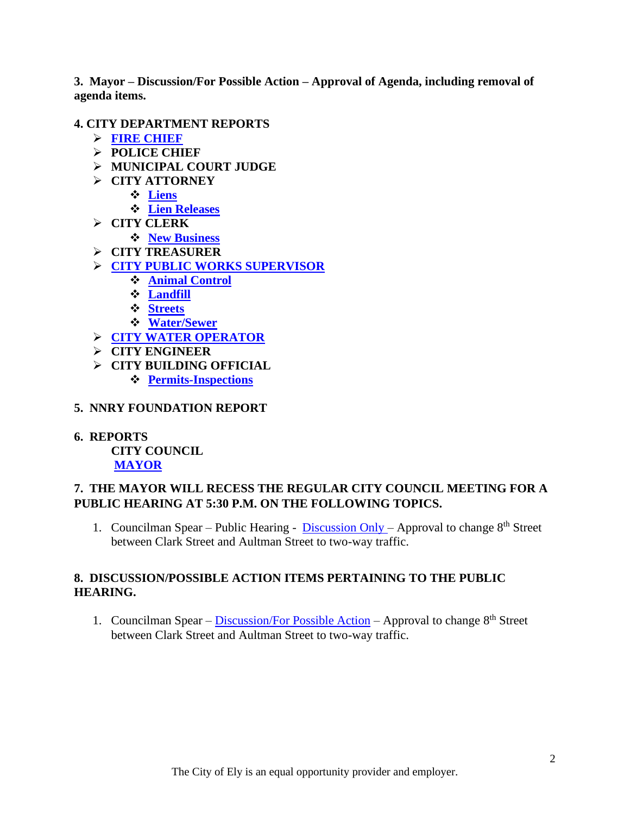**3. Mayor – Discussion/For Possible Action – Approval of Agenda, including removal of agenda items.**

#### **4. CITY DEPARTMENT REPORTS**

- ➢ **[FIRE CHIEF](https://www.cityofelynv.gov/pdf/CityCouncil2022/cc2-10-22/FirechiefReportJanuary2022.pdf)**
- ➢ **POLICE CHIEF**
- ➢ **MUNICIPAL COURT JUDGE**
- ➢ **CITY ATTORNEY**
	- ❖ **[Liens](https://www.cityofelynv.gov/pdf/CityCouncil2022/cc2-10-22/Januaryliens.pdf)**
	- ❖ **[Lien Releases](https://www.cityofelynv.gov/pdf/CityCouncil2022/cc2-10-22/Januarylienreleases.pdf)**
- ➢ **CITY CLERK**
	- ❖ **[New Business](https://www.cityofelynv.gov/pdf/CityCouncil2022/cc2-10-22/januarynewbusinesses.pdf)**
- ➢ **CITY TREASURER**
- ➢ **[CITY PUBLIC WORKS SUPERVISOR](https://www.cityofelynv.gov/pdf/CityCouncil2022/cc2-10-22/PublicworksReportJanuary2022.pdf)**
	- ❖ **[Animal Control](https://www.cityofelynv.gov/pdf/CityCouncil2022/cc2-10-22/animalcontroljanuaryreport.pdf)**
	- ❖ **[Landfill](https://www.cityofelynv.gov/pdf/CityCouncil2022/cc2-10-22/landfillmonthlyreportJanuary.pdf)**
	- ❖ **[Streets](https://www.cityofelynv.gov/pdf/CityCouncil2022/cc2-10-22/streetsreportJan22.pdf)**
	- ❖ **[Water/Sewer](https://www.cityofelynv.gov/pdf/CityCouncil2022/cc2-10-22/waterandsewerReportJanuary2022.pdf)**
- ➢ **[CITY WATER OPERATOR](https://www.cityofelynv.gov/pdf/CityCouncil2022/cc2-10-22/wateroperatorjanuaryreport.pdf)**
- ➢ **CITY ENGINEER**
- ➢ **CITY BUILDING OFFICIAL**
	- ❖ **[Permits-Inspections](https://www.cityofelynv.gov/pdf/CityCouncil2022/cc2-10-22/Buidlingpermitsjanuary.pdf)**
- **5. NNRY FOUNDATION REPORT**
- **6. REPORTS CITY COUNCIL**

# **[MAYOR](https://www.cityofelynv.gov/pdf/CityCouncil2022/cc2-10-22/MayorsRptFebrurary.pdf)**

## **7. THE MAYOR WILL RECESS THE REGULAR CITY COUNCIL MEETING FOR A PUBLIC HEARING AT 5:30 P.M. ON THE FOLLOWING TOPICS.**

1. Councilman Spear – Public Hearing - [Discussion Only](https://www.cityofelynv.gov/pdf/CityCouncil2022/cc2-10-22/PHstreetsigns-8thstreetbetweenClarkandAultman2-28-22.pdf) – Approval to change 8<sup>th</sup> Street between Clark Street and Aultman Street to two-way traffic.

# **8. DISCUSSION/POSSIBLE ACTION ITEMS PERTAINING TO THE PUBLIC HEARING.**

1. Councilman Spear – [Discussion/For Possible Action](https://www.cityofelynv.gov/pdf/CityCouncil2022/cc2-10-22/PHstreetsigns-8thstreetbetweenClarkandAultman2-28-22.pdf) – Approval to change 8<sup>th</sup> Street between Clark Street and Aultman Street to two-way traffic.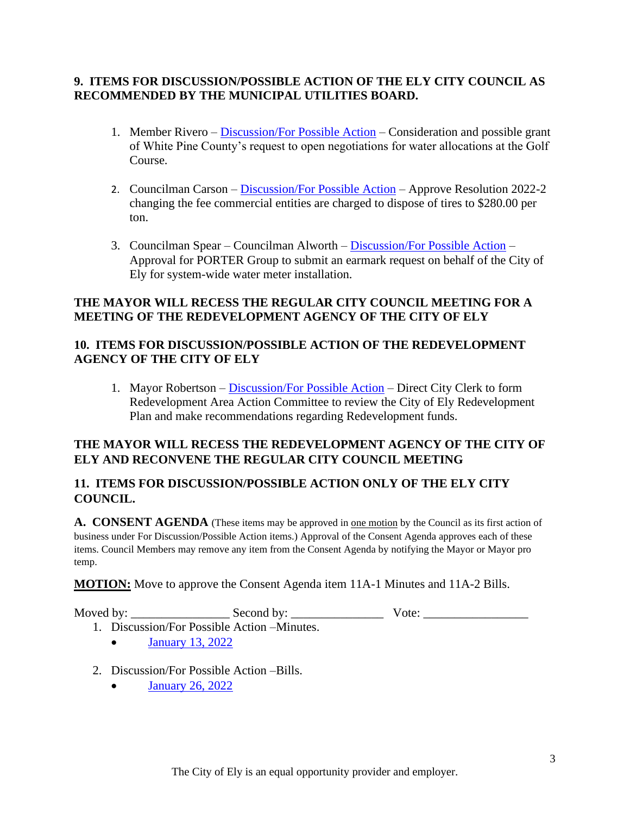#### **9. ITEMS FOR DISCUSSION/POSSIBLE ACTION OF THE ELY CITY COUNCIL AS RECOMMENDED BY THE MUNICIPAL UTILITIES BOARD.**

- 1. Member Rivero [Discussion/For Possible Action](https://www.cityofelynv.gov/pdf/CityCouncil2022/cc2-10-22/Golfcoursewaternegotiations.pdf) Consideration and possible grant of White Pine County's request to open negotiations for water allocations at the Golf Course.
- 2. Councilman Carson [Discussion/For Possible Action](https://www.cityofelynv.gov/pdf/CityCouncil2022/cc2-10-22/Res.2022-2CommercialTireFees.pdf) Approve Resolution 2022-2 changing the fee commercial entities are charged to dispose of tires to \$280.00 per ton.
- 3. Councilman Spear Councilman Alworth [Discussion/For Possible Action](https://www.cityofelynv.gov/pdf/CityCouncil2022/cc2-10-22/WaterMeterInstallationwithEstimate.pdf) Approval for PORTER Group to submit an earmark request on behalf of the City of Ely for system-wide water meter installation.

## **THE MAYOR WILL RECESS THE REGULAR CITY COUNCIL MEETING FOR A MEETING OF THE REDEVELOPMENT AGENCY OF THE CITY OF ELY**

## **10. ITEMS FOR DISCUSSION/POSSIBLE ACTION OF THE REDEVELOPMENT AGENCY OF THE CITY OF ELY**

1. Mayor Robertson – [Discussion/For Possible Action](https://www.cityofelynv.gov/pdf/CityCouncil2022/cc2-10-22/COEredevelopmentplan.pdf) – Direct City Clerk to form Redevelopment Area Action Committee to review the City of Ely Redevelopment Plan and make recommendations regarding Redevelopment funds.

## **THE MAYOR WILL RECESS THE REDEVELOPMENT AGENCY OF THE CITY OF ELY AND RECONVENE THE REGULAR CITY COUNCIL MEETING**

# **11. ITEMS FOR DISCUSSION/POSSIBLE ACTION ONLY OF THE ELY CITY COUNCIL.**

A. CONSENT AGENDA (These items may be approved in <u>one motion</u> by the Council as its first action of business under For Discussion/Possible Action items.) Approval of the Consent Agenda approves each of these items. Council Members may remove any item from the Consent Agenda by notifying the Mayor or Mayor pro temp.

**MOTION:** Move to approve the Consent Agenda item 11A-1 Minutes and 11A-2 Bills.

Moved by: \_\_\_\_\_\_\_\_\_\_\_\_\_\_\_\_ Second by: \_\_\_\_\_\_\_\_\_\_\_\_\_\_\_ Vote: \_\_\_\_\_\_\_\_\_\_\_\_\_\_\_\_\_

- 1. Discussion/For Possible Action –Minutes.
	- [January 13, 2022](https://www.cityofelynv.gov/pdf/CityCouncil2022/cc2-10-22/cc1-13-22meeting.pdf)
- 2. Discussion/For Possible Action –Bills.
	- [January 26, 2022](https://www.cityofelynv.gov/pdf/CityCouncil2022/cc2-10-22/cc1-26-22bills.pdf)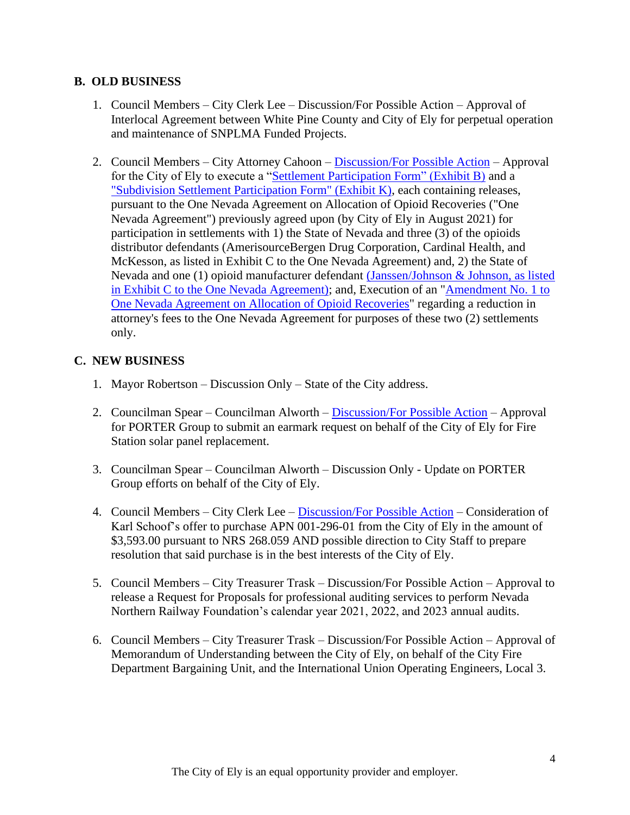#### **B. OLD BUSINESS**

- 1. Council Members City Clerk Lee Discussion/For Possible Action Approval of Interlocal Agreement between White Pine County and City of Ely for perpetual operation and maintenance of SNPLMA Funded Projects.
- 2. Council Members City Attorney Cahoon [Discussion/For Possible Action](https://www.cityofelynv.gov/pdf/CityCouncil2022/cc2-10-22/DistributorSettlementAgreement.pdf) Approval for the City of Ely to execute a ["Settlement Participation Form" \(Exhibit B\)](https://www.cityofelynv.gov/pdf/CityCouncil2022/cc2-10-22/Exhibitbsettlementparticipationform.pdf) and a ["Subdivision Settlement Participation Form" \(Exhibit K\),](https://www.cityofelynv.gov/pdf/CityCouncil2022/cc2-10-22/Exhibitksubdivisionsettlementparticpationform.pdf) each containing releases, pursuant to the One Nevada Agreement on Allocation of Opioid Recoveries ("One Nevada Agreement") previously agreed upon (by City of Ely in August 2021) for participation in settlements with 1) the State of Nevada and three (3) of the opioids distributor defendants (AmerisourceBergen Drug Corporation, Cardinal Health, and McKesson, as listed in Exhibit C to the One Nevada Agreement) and, 2) the State of Nevada and one (1) opioid manufacturer defendant [\(Janssen/Johnson & Johnson, as listed](https://www.cityofelynv.gov/pdf/CityCouncil2022/cc2-10-22/JanssenSettlementAgreement.pdf)  [in Exhibit C to the One Nevada Agreement\);](https://www.cityofelynv.gov/pdf/CityCouncil2022/cc2-10-22/JanssenSettlementAgreement.pdf) and, Execution of an ["Amendment No. 1 to](https://www.cityofelynv.gov/pdf/CityCouncil2022/cc2-10-22/AmendmentN01opioidrecoveries.pdf)  [One Nevada Agreement on Allocation of Opioid Recoveries"](https://www.cityofelynv.gov/pdf/CityCouncil2022/cc2-10-22/AmendmentN01opioidrecoveries.pdf) regarding a reduction in attorney's fees to the One Nevada Agreement for purposes of these two (2) settlements only.

## **C. NEW BUSINESS**

- 1. Mayor Robertson Discussion Only State of the City address.
- 2. Councilman Spear Councilman Alworth [Discussion/For Possible Action](https://www.cityofelynv.gov/pdf/CityCouncil2022/cc2-10-22/GenHerbertletterfirestation.pdf) Approval for PORTER Group to submit an earmark request on behalf of the City of Ely for Fire Station solar panel replacement.
- 3. Councilman Spear Councilman Alworth Discussion Only Update on PORTER Group efforts on behalf of the City of Ely.
- 4. Council Members City Clerk Lee [Discussion/For Possible Action](https://www.cityofelynv.gov/pdf/CityCouncil2022/cc2-10-22/Schoofspropertyoffer.pdf) Consideration of Karl Schoof's offer to purchase APN 001-296-01 from the City of Ely in the amount of \$3,593.00 pursuant to NRS 268.059 AND possible direction to City Staff to prepare resolution that said purchase is in the best interests of the City of Ely.
- 5. Council Members City Treasurer Trask Discussion/For Possible Action Approval to release a Request for Proposals for professional auditing services to perform Nevada Northern Railway Foundation's calendar year 2021, 2022, and 2023 annual audits.
- 6. Council Members City Treasurer Trask Discussion/For Possible Action Approval of Memorandum of Understanding between the City of Ely, on behalf of the City Fire Department Bargaining Unit, and the International Union Operating Engineers, Local 3.